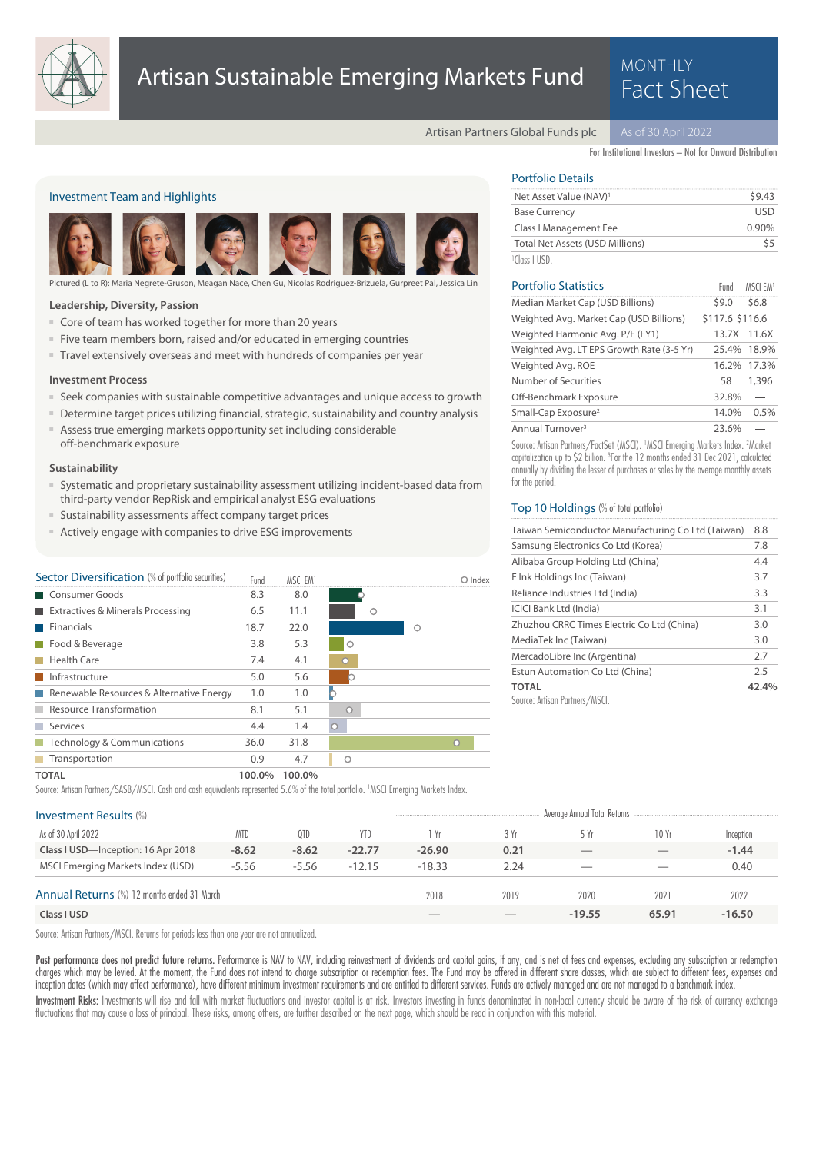

# Artisan Sustainable Emerging Markets Fund<br>Fact Sheet

# MONTHLY

Artisan Partners Global Funds plc

For Institutional Investors – Not for Onward Distribution

# Investment Team and Highlights



Pictured (L to R): Maria Negrete-Gruson, Meagan Nace, Chen Gu, Nicolas Rodriguez-Brizuela, Gurpreet Pal, Jessi

### **Leadership, Diversity, Passion**

- Core of team has worked together for more than 20 years
- Five team members born, raised and/or educated in emerging countries
- Travel extensively overseas and meet with hundreds of companies per year

# **Investment Process**

- Seek companies with sustainable competitive advantages and unique access to growth
- Determine target prices utilizing financial, strategic, sustainability and country analysis
- Assess true emerging markets opportunity set including considerable off-benchmark exposure

### **Sustainability**

- Systematic and proprietary sustainability assessment utilizing incident-based data from third-party vendor RepRisk and empirical analyst ESG evaluations
- Sustainability assessments affect company target prices
- Actively engage with companies to drive ESG improvements

| Sector Diversification (% of portfolio securities) | Fund | MSCI FM1 |         |         | O Index |
|----------------------------------------------------|------|----------|---------|---------|---------|
| Consumer Goods                                     | 8.3  | 8.0      |         |         |         |
| Extractives & Minerals Processing                  | 6.5  | 11.1     |         |         |         |
| Financials                                         | 18.7 | 22.0     |         | $\circ$ |         |
| Food & Beverage                                    | 3.8  | 5.3      | $\circ$ |         |         |
| <b>Health Care</b>                                 | 7.4  | 4.1      | C       |         |         |
| Infrastructure                                     | 5.0  | 5.6      |         |         |         |
| Renewable Resources & Alternative Energy           | 1.0  | 1.0      | D       |         |         |
| Resource Transformation                            | 8.1  | 5.1      |         |         |         |
| Services                                           | 4.4  | 1.4      | $\circ$ |         |         |
| $\blacksquare$ Technology & Communications         | 36.0 | 31.8     |         |         | n       |
| <b>Transportation</b>                              | 0.9  | 4.7      |         |         |         |
| _____                                              |      |          |         |         |         |

# Portfolio Details

| Net Asset Value (NAV) <sup>1</sup>     | 59.43    |
|----------------------------------------|----------|
| <b>Base Currency</b>                   | LISD.    |
| Class I Management Fee                 | $0.90\%$ |
| <b>Total Net Assets (USD Millions)</b> | 55       |
| <sup>1</sup> Class LUSD.               |          |

| <b>Portfolio Statistics</b>               | Fund            | MSCI FM1    |
|-------------------------------------------|-----------------|-------------|
| Median Market Cap (USD Billions)          | 59.0            | \$6.8       |
| Weighted Avg. Market Cap (USD Billions)   | \$117.6 \$116.6 |             |
| Weighted Harmonic Avg. P/E (FY1)          |                 | 13.7X 11.6X |
| Weighted Avg. LT EPS Growth Rate (3-5 Yr) |                 | 25.4% 18.9% |
| Weighted Avg. ROE                         | 16.2%           | 17.3%       |
| Number of Securities                      | 58              | 1,396       |
| Off-Benchmark Exposure                    | 32.8%           |             |
| Small-Cap Exposure <sup>2</sup>           | 14.0%           | 0.5%        |
| Annual Turnover <sup>3</sup>              | 23.6%           |             |

Source: Artisan Partners/FactSet (MSCI). <sup>1</sup>MSCI Emerging Markets Index. <sup>2</sup>Market capitalization up to \$2 billion. <sup>3</sup>For the 12 months ended 31 Dec 2021, calculated annually by dividing the lesser of purchases or sales by the average monthly assets for the period.

### Top 10 Holdings (% of total portfolio)

| Taiwan Semiconductor Manufacturing Co Ltd (Taiwan) | 8.8   |
|----------------------------------------------------|-------|
| Samsung Electronics Co Ltd (Korea)                 | 7.8   |
| Alibaba Group Holding Ltd (China)                  | 4.4   |
| E Ink Holdings Inc (Taiwan)                        | 3.7   |
| Reliance Industries Ltd (India)                    | 3.3   |
| <b>ICICI Bank Ltd (India)</b>                      | 3.1   |
| Zhuzhou CRRC Times Electric Co Ltd (China)         | 3.0   |
| MediaTek Inc (Taiwan)                              | 3.0   |
| MercadoLibre Inc (Argentina)                       | 2.7   |
| Estun Automation Co Ltd (China)                    | 2.5   |
| <b>TOTAL</b>                                       | 42.4% |
| Source: Artisan Partners/MSCI.                     |       |

**TOTAL 100.0% 100.0%**

Source: Artisan Partners/SASB/MSCI. Cash and cash equivalents represented 5.6% of the total portfolio. <sup>1</sup>MSCI Emerging Markets Index.

| <b>Investment Results (%)</b>                      |            |         |          |          |      | Average Annual Total Returns    |                          |           |
|----------------------------------------------------|------------|---------|----------|----------|------|---------------------------------|--------------------------|-----------|
| As of 30 April 2022                                | <b>MTD</b> | 0TD     | YTD      | 1 Yr     | 3 Yr | 5 Yr                            | 10 Yr                    | Inception |
| Class I USD-Inception: 16 Apr 2018                 | $-8.62$    | $-8.62$ | $-22.77$ | $-26.90$ | 0.21 | $\hspace{0.1mm}-\hspace{0.1mm}$ | $-$                      | $-1.44$   |
| MSCI Emerging Markets Index (USD)                  | $-5.56$    | $-5.56$ | $-12.15$ | $-18.33$ | 2.24 | $\overline{\phantom{a}}$        | $\overline{\phantom{a}}$ | 0.40      |
| <b>Annual Returns (%) 12 months ended 31 March</b> |            |         |          | 2018     | 2019 | 2020                            | 2021                     | 2022      |
| Class I USD                                        |            |         |          |          |      | $-19.55$                        | 65.91                    | $-16.50$  |

Source: Artisan Partners/MSCI. Returns for periods less than one year are not annualized.

Past performance does not predict future returns. Performance is NAV to NAV, including reinvestment of dividends and capital gains, if any, and is net of fees and expenses, excluding any subscription or redemption charges which may be levied. At the moment, the Fund does not intend to charge subscription or redemption fees. The Fund may be offered in different share classes, which are subject to different fees, expenses and inception dates (which may affect performance), have different minimum investment requirements and are entitled to different services. Funds are actively managed and are not managed to a benchmark index.

Investment Risks: Investments will rise and fall with market fluctuations and investor capital is at risk. Investors investing in funds denominated in non-local currency should be aware of the risk of currency exchange fluctuations that may cause a loss of principal. These risks, among others, are further described on the next page, which should be read in conjunction with this material.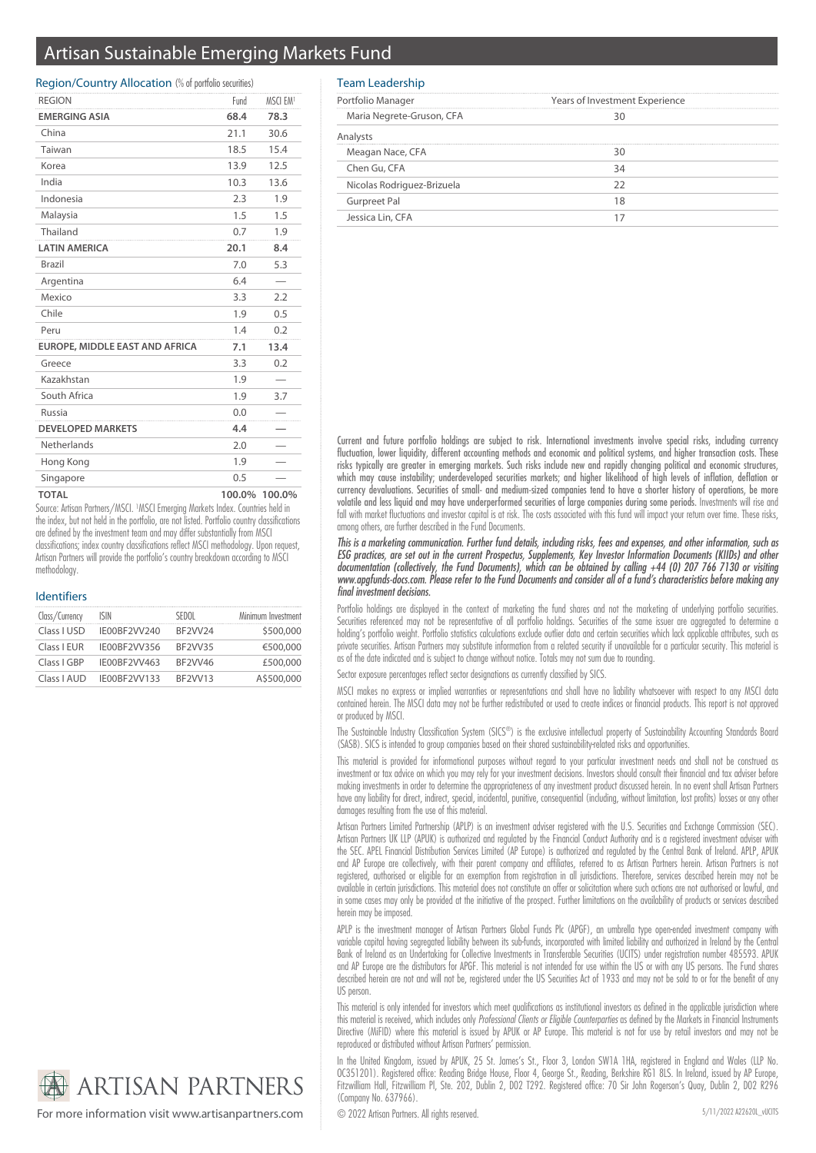# Artisan Sustainable Emerging Markets Fund

# Region/Country Allocation (% of portfolio securities)

| <b>REGION</b>                  | Fund   | MSCI EM <sup>1</sup> |
|--------------------------------|--------|----------------------|
| <b>EMERGING ASIA</b>           | 68.4   | 78.3                 |
| China                          | 21.1   | 30.6                 |
| Taiwan                         | 18.5   | 15.4                 |
| Korea                          | 13.9   | 12.5                 |
| India                          | 10.3   | 13.6                 |
| Indonesia                      | 2.3    | 1.9                  |
| Malaysia                       | 1.5    | 1.5                  |
| Thailand                       | 0.7    | 1.9                  |
| <b>LATIN AMERICA</b>           | 20.1   | 8.4                  |
| Brazil                         | 7.0    | 5.3                  |
| Argentina                      | 6.4    |                      |
| Mexico                         | 3.3    | 2.2                  |
| Chile                          | 1.9    | 0.5                  |
| Peru                           | 1.4    | 0.2                  |
| EUROPE, MIDDLE EAST AND AFRICA | 7.1    | 13.4                 |
| Greece                         | 3.3    | 0.2                  |
| Kazakhstan                     | 1.9    |                      |
| South Africa                   | 1.9    | 3.7                  |
| Russia                         | 0.0    |                      |
| <b>DEVELOPED MARKETS</b>       | 4.4    |                      |
| Netherlands                    | 2.0    |                      |
| Hong Kong                      | 1.9    |                      |
| Singapore                      | 0.5    |                      |
| <b>TOTAL</b>                   | 100.0% | 100.0%               |

Source: Artisan Partners/MSCI. <sup>1</sup>MSCI Emerging Markets Index. Countries held in the index, but not held in the portfolio, are not listed. Portfolio country classifications are defined by the investment team and may differ substantially from MSCI classifications; index country classifications reflect MSCI methodology. Upon request, Artisan Partners will provide the portfolio's country breakdown according to MSCI methodology

## Identifiers

| Class/Currency | ISIN         | SEDOL   | Minimum Investment |
|----------------|--------------|---------|--------------------|
| Class I USD    | IE00BF2VV240 | BF2VV24 | \$500,000          |
| Class I EUR    | IE00BF2VV356 | BF2VV35 | €500,000           |
| Class I GBP    | IE00BF2VV463 | BF2VV46 | £500,000           |
| Class LAUD     | IE00BF2VV133 | BF2VV13 | A\$500,000         |



For more information visit www.artisanpartners.com © 2022 Artisan Partners. All rights reserved.

# Team Leadership

| Portfolio Manager          | Years of Investment Experience |  |  |
|----------------------------|--------------------------------|--|--|
| Maria Negrete-Gruson, CFA  |                                |  |  |
|                            |                                |  |  |
| Meagan Nace, CFA           |                                |  |  |
| Chen Gu, CFA               |                                |  |  |
| Nicolas Rodriguez-Brizuela |                                |  |  |
| <b>Gurpreet Pal</b>        |                                |  |  |
| Jessica Lin, CFA           |                                |  |  |

Current and future portfolio holdings are subject to risk. International investments involve special risks, including currency fluctuation, lower liquidity, different accounting methods and economic and political systems, and higher transaction costs. These risks typically are greater in emerging markets. Such risks include new and rapidly changing political and economic structures, which may cause instability; underdeveloped securities markets; and higher likelihood of high levels of inflation, deflation or currency devaluations. Securities of small- and medium-sized companies tend to have a shorter history of operations, be more volatile and less liquid and may have underperformed securities of large companies during some periods. Investments will rise and fall with market fluctuations and investor capital is at risk. The costs associated with this fund will impact your return over time. These risks, among others, are further described in the Fund Documents.

This is a marketing communication. Further fund details, including risks, fees and expenses, and other information, such as ESG practices, are set out in the current Prospectus, Supplements, Key Investor Information Documents (KIIDs) and other documentation (collectively, the Fund Documents), which can be obtained by calling +44 (0) 207 766 7130 or visiting www.apgfunds-docs.com. Please refer to the Fund Documents and consider all of a fund's characteristics before making any final investment decisions.

Portfolio holdings are displayed in the context of marketing the fund shares and not the marketing of underlying portfolio securities. Securities referenced may not be representative of all portfolio holdings. Securities of the same issuer are aggregated to determine a holding's portfolio weight. Portfolio statistics calculations exclude outlier data and certain securities which lack applicable attributes, such as private securities. Artisan Partners may substitute information from a related security if unavailable for a particular security. This material is as of the date indicated and is subject to change without notice. Totals may not sum due to rounding.

Sector exposure percentages reflect sector designations as currently classified by SICS.

MSCI makes no express or implied warranties or representations and shall have no liability whatsoever with respect to any MSCI data contained herein. The MSCI data may not be further redistributed or used to create indices or financial products. This report is not approved or produced by MSCI.

The Sustainable Industry Classification System (SICS®) is the exclusive intellectual property of Sustainability Accounting Standards Board (SASB). SICS is intended to group companies based on their shared sustainability-related risks and opportunities.

This material is provided for informational purposes without regard to your particular investment needs and shall not be construed as investment or tax advice on which you may rely for your investment decisions. Investors should consult their financial and tax adviser before making investments in order to determine the appropriateness of any investment product discussed herein. In no event shall Artisan Partners have any liability for direct, indirect, special, incidental, punitive, consequential (including, without limitation, lost profits) losses or any other damages resulting from the use of this material.

Artisan Partners Limited Partnership (APLP) is an investment adviser registered with the U.S. Securities and Exchange Commission (SEC). Artisan Partners UK LLP (APUK) is authorized and regulated by the Financial Conduct Authority and is a registered investment adviser with the SEC. APEL Financial Distribution Services Limited (AP Europe) is authorized and regulated by the Central Bank of Ireland. APLP, APUK and AP Europe are collectively, with their parent company and affiliates, referred to as Artisan Partners herein. Artisan Partners is not registered, authorised or eligible for an exemption from registration in all jurisdictions. Therefore, services described herein may not be available in certain jurisdictions. This material does not constitute an offer or solicitation where such actions are not authorised or lawful, and in some cases may only be provided at the initiative of the prospect. Further limitations on the availability of products or services described herein may be imposed.

APLP is the investment manager of Artisan Partners Global Funds Plc (APGF), an umbrella type open-ended investment company with variable capital having segregated liability between its sub-funds, incorporated with limited liability and authorized in Ireland by the Central Bank of Ireland as an Undertaking for Collective Investments in Transferable Securities (UCITS) under registration number 485593. APUK and AP Europe are the distributors for APGF. This material is not intended for use within the US or with any US persons. The Fund shares described herein are not and will not be, registered under the US Securities Act of 1933 and may not be sold to or for the benefit of any US person.

This material is only intended for investors which meet qualifications as institutional investors as defined in the applicable jurisdiction where this material is received, which includes only Professional Clients or Eligible Counterparties as defined by the Markets in Financial Instruments Directive (MiFID) where this material is issued by APUK or AP Europe. This material is not for use by retail investors and may not be reproduced or distributed without Artisan Partners' permission.

In the United Kingdom, issued by APUK, 25 St. James's St., Floor 3, London SW1A 1HA, registered in England and Wales (LLP No. OC351201). Registered office: Reading Bridge House, Floor 4, George St., Reading, Berkshire RG1 8LS. In Ireland, issued by AP Europe, Fitzwilliam Hall, Fitzwilliam Pl, Ste. 202, Dublin 2, D02 T292. Registered office: 70 Sir John Rogerson's Quay, Dublin 2, D02 R296 (Company No. 637966).